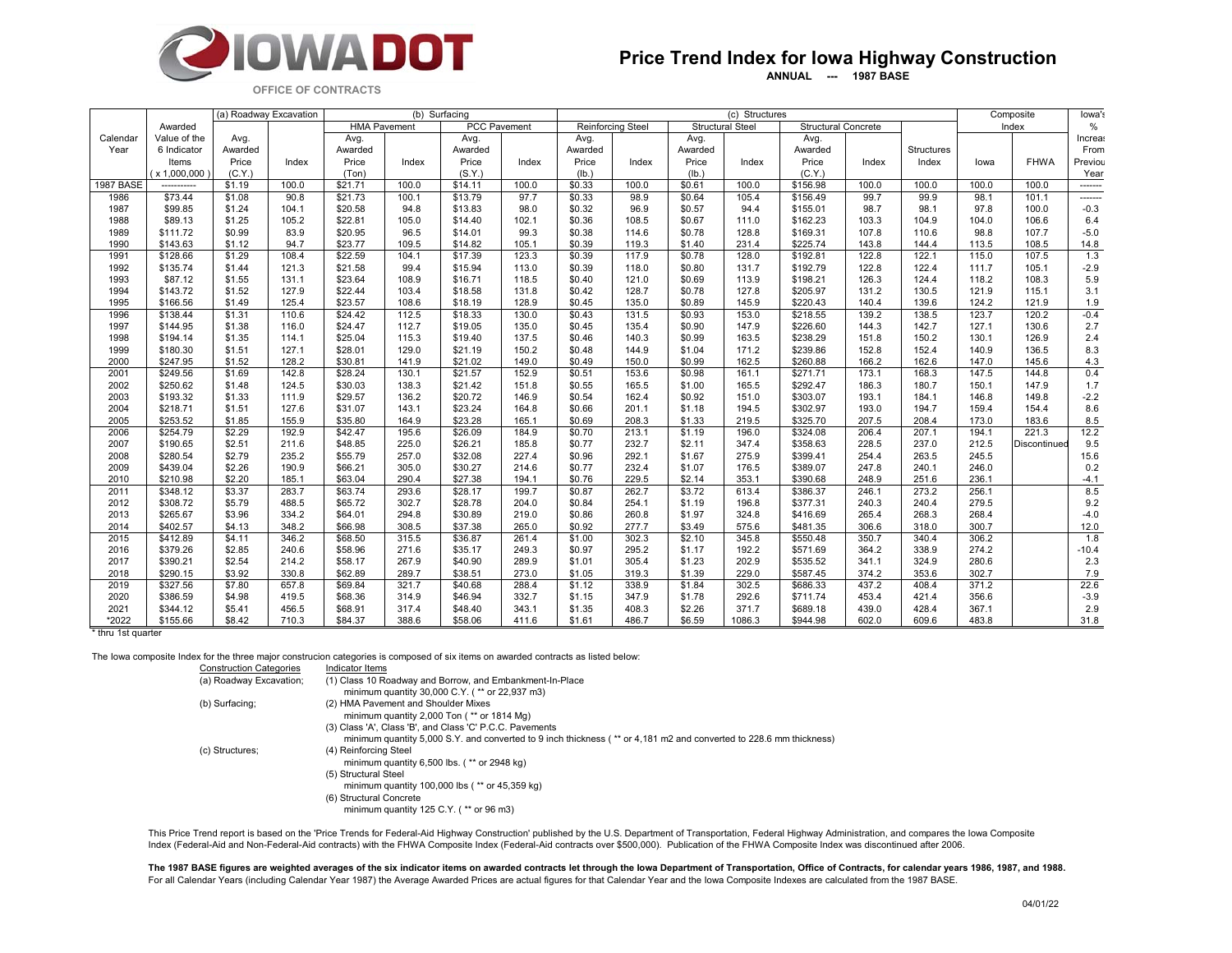

## **Price Trend Index for Iowa Highway Construction**

**ANNUAL --- 1987 BASE**

|                  |              |         | (a) Roadway Excavation | (b) Surfacing       |       |                     |       | (c) Structures |                          |         |                         |                            |       |                   |       | Composite    |                    |
|------------------|--------------|---------|------------------------|---------------------|-------|---------------------|-------|----------------|--------------------------|---------|-------------------------|----------------------------|-------|-------------------|-------|--------------|--------------------|
|                  | Awarded      |         |                        | <b>HMA Pavement</b> |       | <b>PCC Pavement</b> |       |                | <b>Reinforcing Steel</b> |         | <b>Structural Steel</b> | <b>Structural Concrete</b> |       |                   |       | Index        | $\%$               |
| Calendar         | Value of the | Avg.    |                        | Avg.                |       | Avg.                |       | Avg.           |                          | Avg.    |                         | Avg.                       |       |                   |       |              | Increas            |
| Year             | 6 Indicator  | Awarded |                        | Awarded             |       | Awarded             |       | Awarded        |                          | Awarded |                         | Awarded                    |       | <b>Structures</b> |       |              | From               |
|                  | Items        | Price   | Index                  | Price               | Index | Price               | Index | Price          | Index                    | Price   | Index                   | Price                      | Index | Index             | lowa  | <b>FHWA</b>  | Previou            |
|                  | x 1,000,000  | (C.Y.)  |                        | (Ton)               |       | (S.Y.)              |       | (Ib.)          |                          | (lb.)   |                         | (C.Y.)                     |       |                   |       |              | Year               |
| <b>1987 BASE</b> | ------------ | \$1.19  | 100.0                  | \$21.71             | 100.0 | \$14.11             | 100.0 | \$0.33         | 100.0                    | \$0.61  | 100.0                   | \$156.98                   | 100.0 | 100.0             | 100.0 | 100.0        | -------            |
| 1986             | \$73.44      | \$1.08  | 90.8                   | \$21.73             | 100.1 | \$13.79             | 97.7  | \$0.33         | 98.9                     | \$0.64  | 105.4                   | \$156.49                   | 99.7  | 99.9              | 98.1  | 101.1        | -------            |
| 1987             | \$99.85      | \$1.24  | 104.1                  | \$20.58             | 94.8  | \$13.83             | 98.0  | \$0.32         | 96.9                     | \$0.57  | 94.4                    | \$155.01                   | 98.7  | 98.1              | 97.8  | 100.0        | $-0.3$             |
| 1988             | \$89.13      | \$1.25  | 105.2                  | \$22.81             | 105.0 | \$14.40             | 102.1 | \$0.36         | 108.5                    | \$0.67  | 111.0                   | \$162.23                   | 103.3 | 104.9             | 104.0 | 106.6        | 6.4                |
| 1989             | \$111.72     | \$0.99  | 83.9                   | \$20.95             | 96.5  | \$14.01             | 99.3  | \$0.38         | 114.6                    | \$0.78  | 128.8                   | \$169.31                   | 107.8 | 110.6             | 98.8  | 107.7        | $-5.0$             |
| 1990             | \$143.63     | \$1.12  | 94.7                   | \$23.77             | 109.5 | \$14.82             | 105.1 | \$0.39         | 119.3                    | \$1.40  | 231.4                   | \$225.74                   | 143.8 | 144.4             | 113.5 | 108.5        | 14.8               |
| 1991             | \$128.66     | \$1.29  | 108.4                  | \$22.59             | 104.1 | \$17.39             | 123.3 | \$0.39         | 117.9                    | \$0.78  | 128.0                   | \$192.81                   | 122.8 | 122.1             | 115.0 | 107.5        | 1.3                |
| 1992             | \$135.74     | \$1.44  | 121.3                  | \$21.58             | 99.4  | \$15.94             | 113.0 | \$0.39         | 118.0                    | \$0.80  | 131.7                   | \$192.79                   | 122.8 | 122.4             | 111.7 | 105.1        | $-2.9$             |
| 1993             | \$87.12      | \$1.55  | 131.1                  | \$23.64             | 108.9 | \$16.71             | 118.5 | \$0.40         | 121.0                    | \$0.69  | 113.9                   | \$198.21                   | 126.3 | 124.4             | 118.2 | 108.3        | 5.9                |
| 1994             | \$143.72     | \$1.52  | 127.9                  | \$22.44             | 103.4 | \$18.58             | 131.8 | \$0.42         | 128.7                    | \$0.78  | 127.8                   | \$205.97                   | 131.2 | 130.5             | 121.9 | 115.1        | 3.1                |
| 1995             | \$166.56     | \$1.49  | 125.4                  | \$23.57             | 108.6 | \$18.19             | 128.9 | \$0.45         | 135.0                    | \$0.89  | 145.9                   | \$220.43                   | 140.4 | 139.6             | 124.2 | 121.9        | 1.9                |
| 1996             | \$138.44     | \$1.31  | 110.6                  | \$24.42             | 112.5 | \$18.33             | 130.0 | \$0.43         | 131.5                    | \$0.93  | 153.0                   | \$218.55                   | 139.2 | 138.5             | 123.7 | 120.2        | $-0.4$             |
| 1997             | \$144.95     | \$1.38  | 116.0                  | \$24.47             | 112.7 | \$19.05             | 135.0 | \$0.45         | 135.4                    | \$0.90  | 147.9                   | \$226.60                   | 144.3 | 142.7             | 127.1 | 130.6        | 2.7                |
| 1998             | \$194.14     | \$1.35  | 114.1                  | \$25.04             | 115.3 | \$19.40             | 137.5 | \$0.46         | 140.3                    | \$0.99  | 163.5                   | \$238.29                   | 151.8 | 150.2             | 130.1 | 126.9        | 2.4                |
| 1999             | \$180.30     | \$1.51  | 127.1                  | \$28.01             | 129.0 | \$21.19             | 150.2 | \$0.48         | 144.9                    | \$1.04  | 171.2                   | \$239.86                   | 152.8 | 152.4             | 140.9 | 136.5        | 8.3                |
| 2000             | \$247.95     | \$1.52  | 128.2                  | \$30.81             | 141.9 | \$21.02             | 149.0 | \$0.49         | 150.0                    | \$0.99  | 162.5                   | \$260.88                   | 166.2 | 162.6             | 147.0 | 145.6        | 4.3                |
| 2001             | \$249.56     | \$1.69  | 142.8                  | \$28.24             | 130.1 | \$21.57             | 152.9 | \$0.51         | 153.6                    | \$0.98  | 161.1                   | \$271.71                   | 173.1 | 168.3             | 147.5 | 144.8        | 0.4                |
| 2002             | \$250.62     | \$1.48  | 124.5                  | \$30.03             | 138.3 | \$21.42             | 151.8 | \$0.55         | 165.5                    | \$1.00  | 165.5                   | \$292.47                   | 186.3 | 180.7             | 150.1 | 147.9        | 1.7                |
| 2003             | \$193.32     | \$1.33  | 111.9                  | \$29.57             | 136.2 | \$20.72             | 146.9 | \$0.54         | 162.4                    | \$0.92  | 151.0                   | \$303.07                   | 193.1 | 184.1             | 146.8 | 149.8        | $-2.2$             |
| 2004             | \$218.71     | \$1.51  | 127.6                  | \$31.07             | 143.1 | \$23.24             | 164.8 | \$0.66         | 201.1                    | \$1.18  | 194.5                   | \$302.97                   | 193.0 | 194.7             | 159.4 | 154.4        | 8.6                |
| 2005             | \$253.52     | \$1.85  | 155.9                  | \$35.80             | 164.9 | \$23.28             | 165.1 | \$0.69         | 208.3                    | \$1.33  | 219.5                   | \$325.70                   | 207.5 | 208.4             | 173.0 | 183.6        | 8.5                |
| 2006             | \$254.79     | \$2.29  | 192.9                  | \$42.47             | 195.6 | \$26.09             | 184.9 | \$0.70         | 213.1                    | \$1.19  | 196.0                   | \$324.08                   | 206.4 | 207.1             | 194.1 | 221.3        | 12.2               |
| 2007             | \$190.65     | \$2.51  | 211.6                  | \$48.85             | 225.0 | \$26.21             | 185.8 | \$0.77         | 232.7                    | \$2.11  | 347.4                   | \$358.63                   | 228.5 | 237.0             | 212.5 | Discontinued | 9.5                |
| 2008             | \$280.54     | \$2.79  | 235.2                  | \$55.79             | 257.0 | \$32.08             | 227.4 | \$0.96         | 292.1                    | \$1.67  | 275.9                   | \$399.41                   | 254.4 | 263.5             | 245.5 |              | 15.6               |
| 2009             | \$439.04     | \$2.26  | 190.9                  | \$66.21             | 305.0 | \$30.27             | 214.6 | \$0.77         | 232.4                    | \$1.07  | 176.5                   | \$389.07                   | 247.8 | 240.1             | 246.0 |              | 0.2                |
| 2010             | \$210.98     | \$2.20  | 185.1                  | \$63.04             | 290.4 | \$27.38             | 194.1 | \$0.76         | 229.5                    | \$2.14  | 353.1                   | \$390.68                   | 248.9 | 251.6             | 236.1 |              |                    |
| 2011             | \$348.12     | \$3.37  | 283.7                  | \$63.74             | 293.6 | \$28.17             | 199.7 | \$0.87         | 262.7                    | \$3.72  | 613.4                   | \$386.37                   | 246.1 | 273.2             | 256.1 |              | $\frac{-4.1}{8.5}$ |
| 2012             | \$308.72     | \$5.79  | 488.5                  | \$65.72             | 302.7 | \$28.78             | 204.0 | \$0.84         | 254.1                    | \$1.19  | 196.8                   | \$377.31                   | 240.3 | 240.4             | 279.5 |              | 9.2                |
| 2013             | \$265.67     | \$3.96  | 334.2                  | \$64.01             | 294.8 | \$30.89             | 219.0 | \$0.86         | 260.8                    | \$1.97  | 324.8                   | \$416.69                   | 265.4 | 268.3             | 268.4 |              | $-4.0$             |
| 2014             | \$402.57     | \$4.13  | 348.2                  | \$66.98             | 308.5 | \$37.38             | 265.0 | \$0.92         | 277.7                    | \$3.49  | 575.6                   | \$481.35                   | 306.6 | 318.0             | 300.7 |              | 12.0               |
| 2015             | \$412.89     | \$4.11  | 346.2                  | \$68.50             | 315.5 | \$36.87             | 261.4 | \$1.00         | 302.3                    | \$2.10  | 345.8                   | \$550.48                   | 350.7 | 340.4             | 306.2 |              | 1.8                |
| 2016             | \$379.26     | \$2.85  | 240.6                  | \$58.96             | 271.6 | \$35.17             | 249.3 | \$0.97         | 295.2                    | \$1.17  | 192.2                   | \$571.69                   | 364.2 | 338.9             | 274.2 |              | $-10.4$            |
| 2017             | \$390.21     | \$2.54  | 214.2                  | \$58.17             | 267.9 | \$40.90             | 289.9 | \$1.01         | 305.4                    | \$1.23  | 202.9                   | \$535.52                   | 341.1 | 324.9             | 280.6 |              | 2.3                |
| 2018             | \$290.15     | \$3.92  | 330.8                  | \$62.89             | 289.7 | \$38.51             | 273.0 | \$1.05         | 319.3                    | \$1.39  | 229.0                   | \$587.45                   | 374.2 | 353.6             | 302.7 |              | 7.9                |
| 2019             | \$327.56     | \$7.80  | 657.8                  | \$69.84             | 321.7 | \$40.68             | 288.4 | \$1.12         | 338.9                    | \$1.84  | 302.5                   | \$686.33                   | 437.2 | 408.4             | 371.2 |              | 22.6               |
| 2020             | \$386.59     | \$4.98  | 419.5                  | \$68.36             | 314.9 | \$46.94             | 332.7 | \$1.15         | 347.9                    | \$1.78  | 292.6                   | \$711.74                   | 453.4 | 421.4             | 356.6 |              | $-3.9$             |
| 2021             | \$344.12     | \$5.41  | 456.5                  | \$68.91             | 317.4 | \$48.40             | 343.1 | \$1.35         | 408.3                    | \$2.26  | 371.7                   | \$689.18                   | 439.0 | 428.4             | 367.1 |              | 2.9                |
| *2022            | \$155.66     | \$8.42  | 710.3                  | \$84.37             | 388.6 | \$58.06             | 411.6 | \$1.61         | 486.7                    | \$6.59  | 1086.3                  | \$944.98                   | 602.0 | 609.6             | 483.8 |              | 31.8               |

\* thru 1st quarter

The Iowa composite Index for the three major construcion categories is composed of six items on awarded contracts as listed below:<br>Construction Categories Indicator Items Construction Categories<br>(a) Roadway Excavation;  $(1)$  Class 10 Roadway and Borrow, and Embankment-In-Place minimum quantity 30,000 C.Y. ( \*\* or 22,937 m3) (b) Surfacing; (2) HMA Pavement and Shoulder Mixes minimum quantity 2,000 Ton ( \*\* or 1814 Mg) (3) Class 'A', Class 'B', and Class 'C' P.C.C. Pavements minimum quantity 5,000 S.Y. and converted to 9 inch thickness ( \*\* or 4,181 m2 and converted to 228.6 mm thickness) (c) Structures; (4) Reinforcing Steel minimum quantity 6,500 lbs. ( \*\* or 2948 kg) (5) Structural Steel minimum quantity 100,000 lbs ( \*\* or 45,359 kg) (6) Structural Concrete minimum quantity 125 C.Y. ( \*\* or 96 m3)

This Price Trend report is based on the 'Price Trends for Federal-Aid Highway Construction' published by the U.S. Department of Transportation, Federal Highway Administration, and compares the Iowa Composite Index (Federal-Aid and Non-Federal-Aid contracts) with the FHWA Composite Index (Federal-Aid contracts over \$500,000). Publication of the FHWA Composite Index was discontinued after 2006.

**The 1987 BASE figures are weighted averages of the six indicator items on awarded contracts let through the Iowa Department of Transportation, Office of Contracts, for calendar years 1986, 1987, and 1988.** For all Calendar Years (including Calendar Year 1987) the Average Awarded Prices are actual figures for that Calendar Year and the Iowa Composite Indexes are calculated from the 1987 BASE.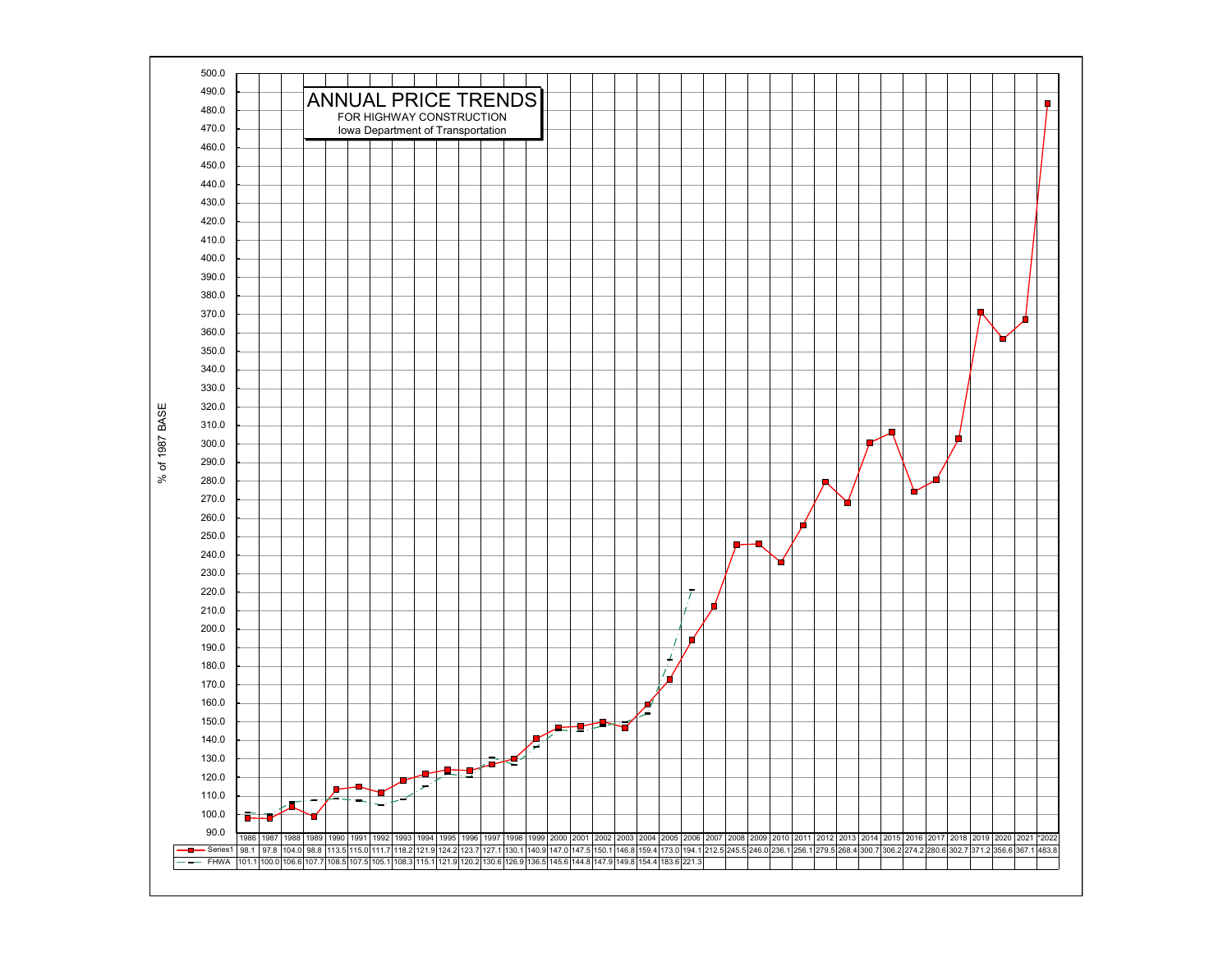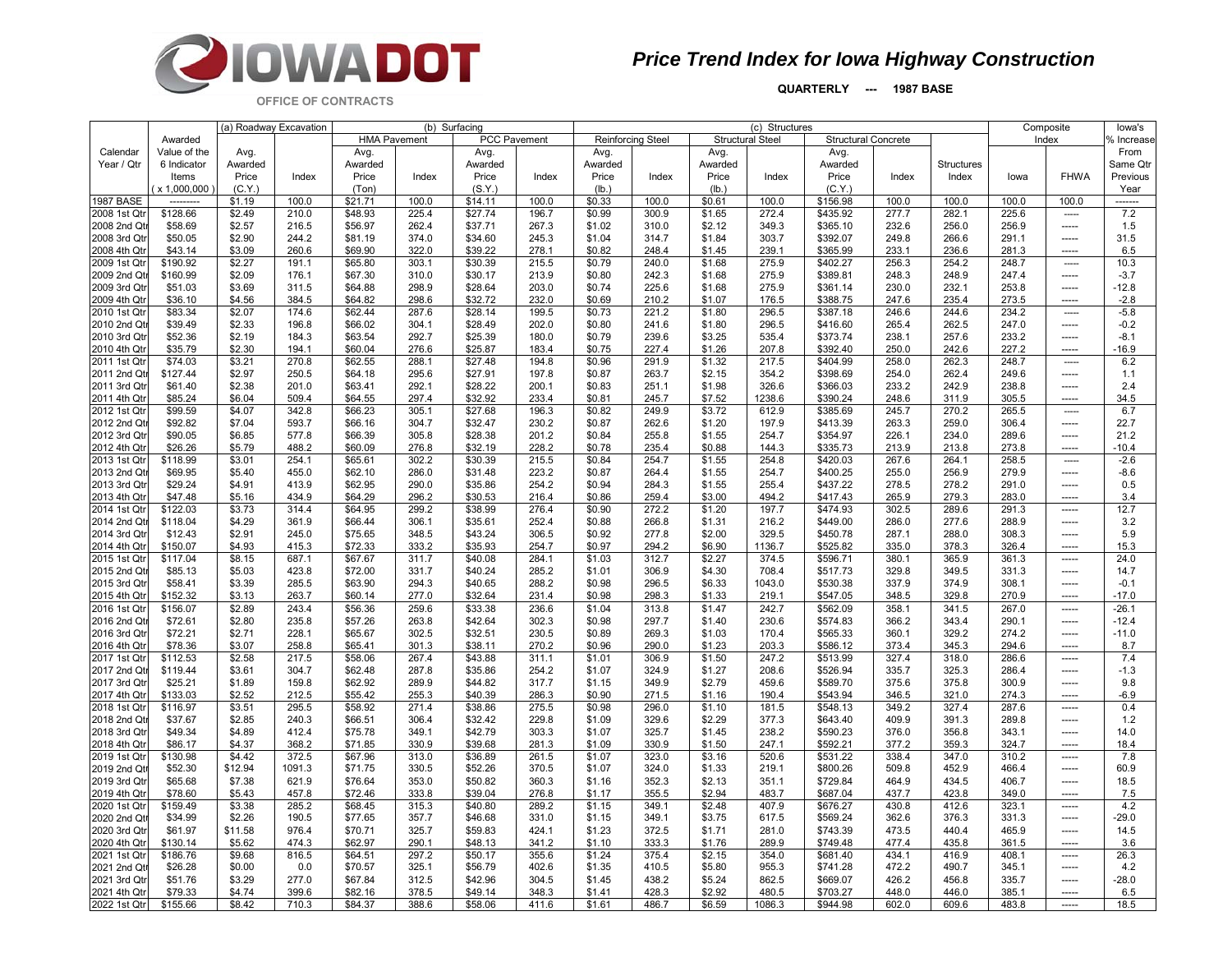

## *Price Trend Index for Iowa Highway Construction*

**QUARTERLY --- 1987 BASE**

|                  | (a) Roadway Excavation<br>(b) Surfacing |         |        |                     |                     |         |       |                         |                          |                    |        | lowa's                     |       |            |       |                          |          |
|------------------|-----------------------------------------|---------|--------|---------------------|---------------------|---------|-------|-------------------------|--------------------------|--------------------|--------|----------------------------|-------|------------|-------|--------------------------|----------|
|                  | Awarded                                 |         |        | <b>HMA Pavement</b> | <b>PCC Pavement</b> |         |       | <b>Structural Steel</b> |                          | Composite<br>Index |        | 6 Increase                 |       |            |       |                          |          |
|                  |                                         |         |        |                     |                     |         |       |                         | <b>Reinforcing Steel</b> |                    |        | <b>Structural Concrete</b> |       |            |       |                          |          |
| Calendar         | Value of the                            | Avg.    |        | Avg.                |                     | Avg.    |       | Avg.                    |                          | Avg.               |        | Avg.                       |       |            |       |                          | From     |
| Year / Qtr       | 6 Indicator                             | Awarded |        | Awarded             |                     | Awarded |       | Awarded                 |                          | Awarded            |        | Awarded                    |       | Structures |       |                          | Same Qtr |
|                  | Items                                   | Price   | Index  | Price               | Index               | Price   | Index | Price                   | Index                    | Price              | Index  | Price                      | Index | Index      | lowa  | <b>FHWA</b>              | Previous |
|                  | x 1,000,000                             | (C.Y.)  |        | (Ton)               |                     | (S.Y.)  |       | (Ib)                    |                          | (lb.)              |        | (C.Y.)                     |       |            |       |                          | Year     |
| <b>1987 BASE</b> |                                         | \$1.19  | 100.0  | \$21.71             | 100.0               | \$14.11 | 100.0 | \$0.33                  | 100.0                    | \$0.61             | 100.0  | \$156.98                   | 100.0 | 100.0      | 100.0 | 100.0                    |          |
| 2008 1st Qtr     | \$128.66                                | \$2.49  | 210.0  | \$48.93             | 225.4               | \$27.74 | 196.7 | \$0.99                  | 300.9                    | \$1.65             | 272.4  | \$435.92                   | 277.7 | 282.1      | 225.6 | -----                    | 7.2      |
| 2008 2nd Qtr     | \$58.69                                 | \$2.57  | 216.5  | \$56.97             | 262.4               | \$37.71 | 267.3 | \$1.02                  | 310.0                    | \$2.12             | 349.3  | \$365.10                   | 232.6 | 256.0      | 256.9 | -----                    | 1.5      |
| 2008 3rd Qtr     | \$50.05                                 | \$2.90  | 244.2  | \$81.19             | 374.0               | \$34.60 | 245.3 | \$1.04                  | 314.7                    | \$1.84             | 303.7  | \$392.07                   | 249.8 | 266.6      | 291.1 | -----                    | 31.5     |
| 2008 4th Qtr     | \$43.14                                 | \$3.09  | 260.6  | \$69.90             | 322.0               | \$39.22 | 278.1 | \$0.82                  | 248.4                    | \$1.45             | 239.1  | \$365.99                   | 233.1 | 236.6      | 281.3 | -----                    | 6.5      |
| 2009 1st Qtr     | \$190.92                                | \$2.27  | 191.1  | \$65.80             | 303.1               | \$30.39 | 215.5 | \$0.79                  | 240.0                    | \$1.68             | 275.9  | \$402.27                   | 256.3 | 254.2      | 248.7 | $\sim$                   | 10.3     |
|                  |                                         |         |        |                     |                     |         |       |                         |                          |                    |        |                            |       |            |       |                          |          |
| 2009 2nd Qt      | \$160.99                                | \$2.09  | 176.1  | \$67.30             | 310.0               | \$30.17 | 213.9 | \$0.80                  | 242.3                    | \$1.68             | 275.9  | \$389.81                   | 248.3 | 248.9      | 247.4 | -----                    | $-3.7$   |
| 2009 3rd Qtr     | \$51.03                                 | \$3.69  | 311.5  | \$64.88             | 298.9               | \$28.64 | 203.0 | \$0.74                  | 225.6                    | \$1.68             | 275.9  | \$361.14                   | 230.0 | 232.1      | 253.8 | -----                    | $-12.8$  |
| 2009 4th Qtr     | \$36.10                                 | \$4.56  | 384.5  | \$64.82             | 298.6               | \$32.72 | 232.0 | \$0.69                  | 210.2                    | \$1.07             | 176.5  | \$388.75                   | 247.6 | 235.4      | 273.5 |                          | $-2.8$   |
| 2010 1st Qtr     | \$83.34                                 | \$2.07  | 174.6  | \$62.44             | 287.6               | \$28.14 | 199.5 | \$0.73                  | 221.2                    | \$1.80             | 296.5  | \$387.18                   | 246.6 | 244.6      | 234.2 | $\cdots$                 | $-5.8$   |
| 2010 2nd Qt      | \$39.49                                 | \$2.33  | 196.8  | \$66.02             | 304.1               | \$28.49 | 202.0 | \$0.80                  | 241.6                    | \$1.80             | 296.5  | \$416.60                   | 265.4 | 262.5      | 247.0 | $- - - - -$              | $-0.2$   |
| 2010 3rd Qtr     | \$52.36                                 | \$2.19  | 184.3  | \$63.54             | 292.7               | \$25.39 | 180.0 | \$0.79                  | 239.6                    | \$3.25             | 535.4  | \$373.74                   | 238.1 | 257.6      | 233.2 | -----                    | $-8.1$   |
| 2010 4th Qtr     | \$35.79                                 | \$2.30  | 194.1  | \$60.04             | 276.6               | \$25.87 | 183.4 | \$0.75                  | 227.4                    | \$1.26             | 207.8  | \$392.40                   | 250.0 | 242.6      | 227.2 |                          | $-16.9$  |
| 2011 1st Qtr     | \$74.03                                 | \$3.21  | 270.8  | \$62.55             | 288.1               | \$27.48 | 194.8 | \$0.96                  | 291.9                    | \$1.32             | 217.5  | \$404.99                   | 258.0 | 262.3      | 248.7 | -----                    | 6.2      |
| 2011 2nd Qtr     | \$127.44                                | \$2.97  | 250.5  | \$64.18             | 295.6               | \$27.91 | 197.8 | \$0.87                  | 263.7                    | \$2.15             | 354.2  | \$398.69                   | 254.0 | 262.4      | 249.6 | -----                    | 1.1      |
| 2011 3rd Qtr     | \$61.40                                 | \$2.38  | 201.0  | \$63.41             | 292.1               | \$28.22 | 200.1 | \$0.83                  | 251.1                    | \$1.98             | 326.6  | \$366.03                   | 233.2 | 242.9      | 238.8 | $\cdots$                 | 2.4      |
|                  |                                         |         |        |                     |                     |         |       |                         |                          |                    |        |                            |       |            |       |                          |          |
| 2011 4th Qtr     | \$85.24                                 | \$6.04  | 509.4  | \$64.55             | 297.4               | \$32.92 | 233.4 | \$0.81                  | 245.7                    | \$7.52             | 1238.6 | \$390.24                   | 248.6 | 311.9      | 305.5 | -----                    | 34.5     |
| 2012 1st Qtr     | \$99.59                                 | \$4.07  | 342.8  | \$66.23             | 305.1               | \$27.68 | 196.3 | \$0.82                  | 249.9                    | \$3.72             | 612.9  | \$385.69                   | 245.7 | 270.2      | 265.5 | -----                    | 6.7      |
| 2012 2nd Qt      | \$92.82                                 | \$7.04  | 593.7  | \$66.16             | 304.7               | \$32.47 | 230.2 | \$0.87                  | 262.6                    | \$1.20             | 197.9  | \$413.39                   | 263.3 | 259.0      | 306.4 |                          | 22.7     |
| 2012 3rd Qtr     | \$90.05                                 | \$6.85  | 577.8  | \$66.39             | 305.8               | \$28.38 | 201.2 | \$0.84                  | 255.8                    | \$1.55             | 254.7  | \$354.97                   | 226.1 | 234.0      | 289.6 | -----                    | 21.2     |
| 2012 4th Qtr     | \$26.26                                 | \$5.79  | 488.2  | \$60.09             | 276.8               | \$32.19 | 228.2 | \$0.78                  | 235.4                    | \$0.88             | 144.3  | \$335.73                   | 213.9 | 213.8      | 273.8 |                          | $-10.4$  |
| 2013 1st Qtr     | \$118.99                                | \$3.01  | 254.1  | \$65.61             | 302.2               | \$30.39 | 215.5 | \$0.84                  | 254.7                    | \$1.55             | 254.8  | \$420.03                   | 267.6 | 264.1      | 258.5 | -----                    | $-2.6$   |
| 2013 2nd Qt      | \$69.95                                 | \$5.40  | 455.0  | \$62.10             | 286.0               | \$31.48 | 223.2 | \$0.87                  | 264.4                    | \$1.55             | 254.7  | \$400.25                   | 255.0 | 256.9      | 279.9 | -----                    | $-8.6$   |
| 2013 3rd Qtr     | \$29.24                                 | \$4.91  | 413.9  | \$62.95             | 290.0               | \$35.86 | 254.2 | \$0.94                  | 284.3                    | \$1.55             | 255.4  | \$437.22                   | 278.5 | 278.2      | 291.0 | -----                    | 0.5      |
| 2013 4th Qt      | \$47.48                                 | \$5.16  | 434.9  | \$64.29             | 296.2               | \$30.53 | 216.4 | \$0.86                  | 259.4                    | \$3.00             | 494.2  | \$417.43                   | 265.9 | 279.3      | 283.0 |                          | 3.4      |
| 2014 1st Qtr     | \$122.03                                | \$3.73  | 314.4  | \$64.95             | 299.2               | \$38.99 | 276.4 | \$0.90                  | 272.2                    | \$1.20             | 197.7  | \$474.93                   | 302.5 | 289.6      | 291.3 | -----                    | 12.7     |
| 2014 2nd Qtr     | \$118.04                                | \$4.29  | 361.9  | \$66.44             | 306.1               | \$35.61 | 252.4 | \$0.88                  | 266.8                    | \$1.31             | 216.2  | \$449.00                   | 286.0 | 277.6      | 288.9 | $- - - - -$              | 3.2      |
|                  |                                         |         |        |                     |                     |         |       |                         |                          |                    |        |                            |       |            |       |                          |          |
| 2014 3rd Qtr     | \$12.43                                 | \$2.91  | 245.0  | \$75.65             | 348.5               | \$43.24 | 306.5 | \$0.92                  | 277.8                    | \$2.00             | 329.5  | \$450.78                   | 287.1 | 288.0      | 308.3 | -----                    | 5.9      |
| 2014 4th Qtr     | \$150.07                                | \$4.93  | 415.3  | \$72.33             | 333.2               | \$35.93 | 254.7 | \$0.97                  | 294.2                    | \$6.90             | 1136.7 | \$525.82                   | 335.0 | 378.3      | 326.4 | $- - - - -$              | 15.3     |
| 2015 1st Qtr     | \$117.04                                | \$8.15  | 687.1  | \$67.67             | 311.7               | \$40.08 | 284.1 | \$1.03                  | 312.7                    | \$2.27             | 374.5  | \$596.71                   | 380.1 | 365.9      | 361.3 | -----                    | 24.0     |
| 2015 2nd Qt      | \$85.13                                 | \$5.03  | 423.8  | \$72.00             | 331.7               | \$40.24 | 285.2 | \$1.01                  | 306.9                    | \$4.30             | 708.4  | \$517.73                   | 329.8 | 349.5      | 331.3 | -----                    | 14.7     |
| 2015 3rd Qtr     | \$58.41                                 | \$3.39  | 285.5  | \$63.90             | 294.3               | \$40.65 | 288.2 | \$0.98                  | 296.5                    | \$6.33             | 1043.0 | \$530.38                   | 337.9 | 374.9      | 308.1 | -----                    | $-0.1$   |
| 2015 4th Qtr     | \$152.32                                | \$3.13  | 263.7  | \$60.14             | 277.0               | \$32.64 | 231.4 | \$0.98                  | 298.3                    | \$1.33             | 219.1  | \$547.05                   | 348.5 | 329.8      | 270.9 | -----                    | $-17.0$  |
| 2016 1st Qtr     | \$156.07                                | \$2.89  | 243.4  | \$56.36             | 259.6               | \$33.38 | 236.6 | \$1.04                  | 313.8                    | $\overline{$}1.47$ | 242.7  | \$562.09                   | 358.1 | 341.5      | 267.0 | $\cdots$                 | $-26.1$  |
| 2016 2nd Qt      | \$72.61                                 | \$2.80  | 235.8  | \$57.26             | 263.8               | \$42.64 | 302.3 | \$0.98                  | 297.7                    | \$1.40             | 230.6  | \$574.83                   | 366.2 | 343.4      | 290.1 | -----                    | $-12.4$  |
| 2016 3rd Qtr     | \$72.21                                 | \$2.71  | 228.1  | \$65.67             | 302.5               | \$32.51 | 230.5 | \$0.89                  | 269.3                    | \$1.03             | 170.4  | \$565.33                   | 360.1 | 329.2      | 274.2 | -----                    | $-11.0$  |
| 2016 4th Qtr     | \$78.36                                 | \$3.07  | 258.8  | \$65.41             | 301.3               | \$38.11 | 270.2 | \$0.96                  | 290.0                    | \$1.23             | 203.3  | \$586.12                   | 373.4 | 345.3      | 294.6 |                          | 8.7      |
| 2017 1st Qtr     | \$112.53                                | \$2.58  | 217.5  | \$58.06             | 267.4               | \$43.88 | 311.1 | \$1.01                  | 306.9                    | \$1.50             | 247.2  | \$513.99                   | 327.4 | 318.0      | 286.6 | -----                    | 7.4      |
|                  |                                         |         | 304.7  |                     |                     |         |       |                         | 324.9                    |                    |        |                            |       |            | 286.4 |                          |          |
| 2017 2nd Qtr     | \$119.44                                | \$3.61  |        | \$62.48             | 287.8               | \$35.86 | 254.2 | \$1.07                  |                          | \$1.27             | 208.6  | \$526.94                   | 335.7 | 325.3      |       | -----                    | $-1.3$   |
| 2017 3rd Qtr     | \$25.21                                 | \$1.89  | 159.8  | \$62.92             | 289.9               | \$44.82 | 317.7 | \$1.15                  | 349.9                    | \$2.79             | 459.6  | \$589.70                   | 375.6 | 375.8      | 300.9 | -----                    | 9.8      |
| 2017 4th Qtr     | \$133.03                                | \$2.52  | 212.5  | \$55.42             | 255.3               | \$40.39 | 286.3 | \$0.90                  | 271.5                    | \$1.16             | 190.4  | \$543.94                   | 346.5 | 321.0      | 274.3 | -----                    | $-6.9$   |
| 2018 1st Qtr     | \$116.97                                | \$3.51  | 295.5  | \$58.92             | 271.4               | \$38.86 | 275.5 | \$0.98                  | 296.0                    | \$1.10             | 181.5  | \$548.13                   | 349.2 | 327.4      | 287.6 | -----                    | 0.4      |
| 2018 2nd Qt      | \$37.67                                 | \$2.85  | 240.3  | \$66.51             | 306.4               | \$32.42 | 229.8 | \$1.09                  | 329.6                    | \$2.29             | 377.3  | \$643.40                   | 409.9 | 391.3      | 289.8 | -----                    | 1.2      |
| 2018 3rd Qtr     | \$49.34                                 | \$4.89  | 412.4  | \$75.78             | 349.1               | \$42.79 | 303.3 | \$1.07                  | 325.7                    | \$1.45             | 238.2  | \$590.23                   | 376.0 | 356.8      | 343.1 | -----                    | 14.0     |
| 2018 4th Qtr     | \$86.17                                 | \$4.37  | 368.2  | \$71.85             | 330.9               | \$39.68 | 281.3 | \$1.09                  | 330.9                    | \$1.50             | 247.1  | \$592.21                   | 377.2 | 359.3      | 324.7 |                          | 18.4     |
| 2019 1st Qtr     | \$130.98                                | \$4.42  | 372.5  | \$67.96             | 313.0               | \$36.89 | 261.5 | \$1.07                  | 323.0                    | \$3.16             | 520.6  | \$531.22                   | 338.4 | 347.0      | 310.2 | $\overline{\phantom{a}}$ | 7.8      |
| 2019 2nd Qt      | \$52.30                                 | \$12.94 | 1091.3 | \$71.75             | 330.5               | \$52.26 | 370.5 | \$1.07                  | 324.0                    | \$1.33             | 219.1  | \$800.26                   | 509.8 | 452.9      | 466.4 | -----                    | 60.9     |
| 2019 3rd Qtr     | \$65.68                                 | \$7.38  | 621.9  | \$76.64             | 353.0               | \$50.82 | 360.3 | \$1.16                  | 352.3                    | \$2.13             | 351.1  | \$729.84                   | 464.9 | 434.5      | 406.7 | $- - - - -$              | 18.5     |
| 2019 4th Qtr     | \$78.60                                 | \$5.43  | 457.8  | \$72.46             | 333.8               | \$39.04 | 276.8 | \$1.17                  | 355.5                    | \$2.94             | 483.7  | \$687.04                   | 437.7 | 423.8      | 349.0 | -----                    | 7.5      |
| 2020 1st Qtr     | \$159.49                                | \$3.38  | 285.2  | \$68.45             | 315.3               | \$40.80 | 289.2 | \$1.15                  | 349.1                    | \$2.48             | 407.9  | \$676.27                   | 430.8 | 412.6      | 323.1 |                          | 4.2      |
|                  |                                         |         |        |                     |                     |         |       |                         |                          |                    |        |                            |       |            |       |                          |          |
| 2020 2nd Qt      | \$34.99                                 | \$2.26  | 190.5  | \$77.65             | 357.7               | \$46.68 | 331.0 | \$1.15                  | 349.1                    | \$3.75             | 617.5  | \$569.24                   | 362.6 | 376.3      | 331.3 | $- - - - -$              | $-29.0$  |
| 2020 3rd Qtr     | \$61.97                                 | \$11.58 | 976.4  | \$70.71             | 325.7               | \$59.83 | 424.1 | \$1.23                  | 372.5                    | \$1.71             | 281.0  | \$743.39                   | 473.5 | 440.4      | 465.9 | $\cdots$                 | 14.5     |
| 2020 4th Qtr     | \$130.14                                | \$5.62  | 474.3  | \$62.97             | 290.1               | \$48.13 | 341.2 | \$1.10                  | 333.3                    | \$1.76             | 289.9  | \$749.48                   | 477.4 | 435.8      | 361.5 | -----                    | 3.6      |
| 2021 1st Qtr     | \$186.76                                | \$9.68  | 816.5  | \$64.51             | 297.2               | \$50.17 | 355.6 | \$1.24                  | 375.4                    | \$2.15             | 354.0  | \$681.40                   | 434.1 | 416.9      | 408.1 | -----                    | 26.3     |
| 2021 2nd Qt      | \$26.28                                 | \$0.00  | 0.0    | \$70.57             | 325.1               | \$56.79 | 402.6 | \$1.35                  | 410.5                    | \$5.80             | 955.3  | \$741.28                   | 472.2 | 490.7      | 345.1 | -----                    | 4.2      |
| 2021 3rd Qtr     | \$51.76                                 | \$3.29  | 277.0  | \$67.84             | 312.5               | \$42.96 | 304.5 | \$1.45                  | 438.2                    | \$5.24             | 862.5  | \$669.07                   | 426.2 | 456.8      | 335.7 | -----                    | $-28.0$  |
| 2021 4th Qtr     | \$79.33                                 | \$4.74  | 399.6  | \$82.16             | 378.5               | \$49.14 | 348.3 | \$1.41                  | 428.3                    | \$2.92             | 480.5  | \$703.27                   | 448.0 | 446.0      | 385.1 |                          | 6.5      |
| 2022 1st Qtr     | \$155.66                                | \$8.42  | 710.3  | \$84.37             | 388.6               | \$58.06 | 411.6 | \$1.61                  | 486.7                    | \$6.59             | 1086.3 | \$944.98                   | 602.0 | 609.6      | 483.8 | -----                    | 18.5     |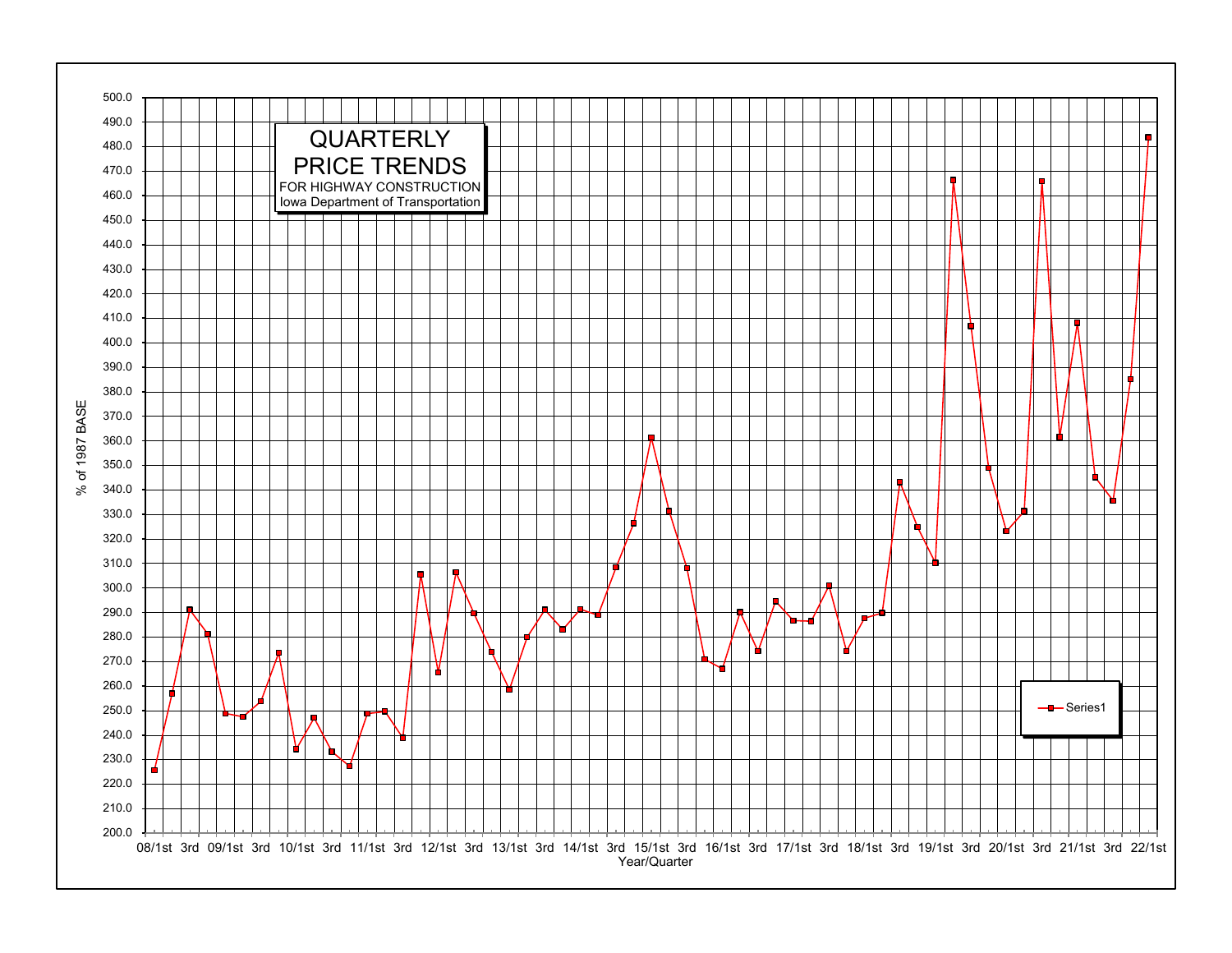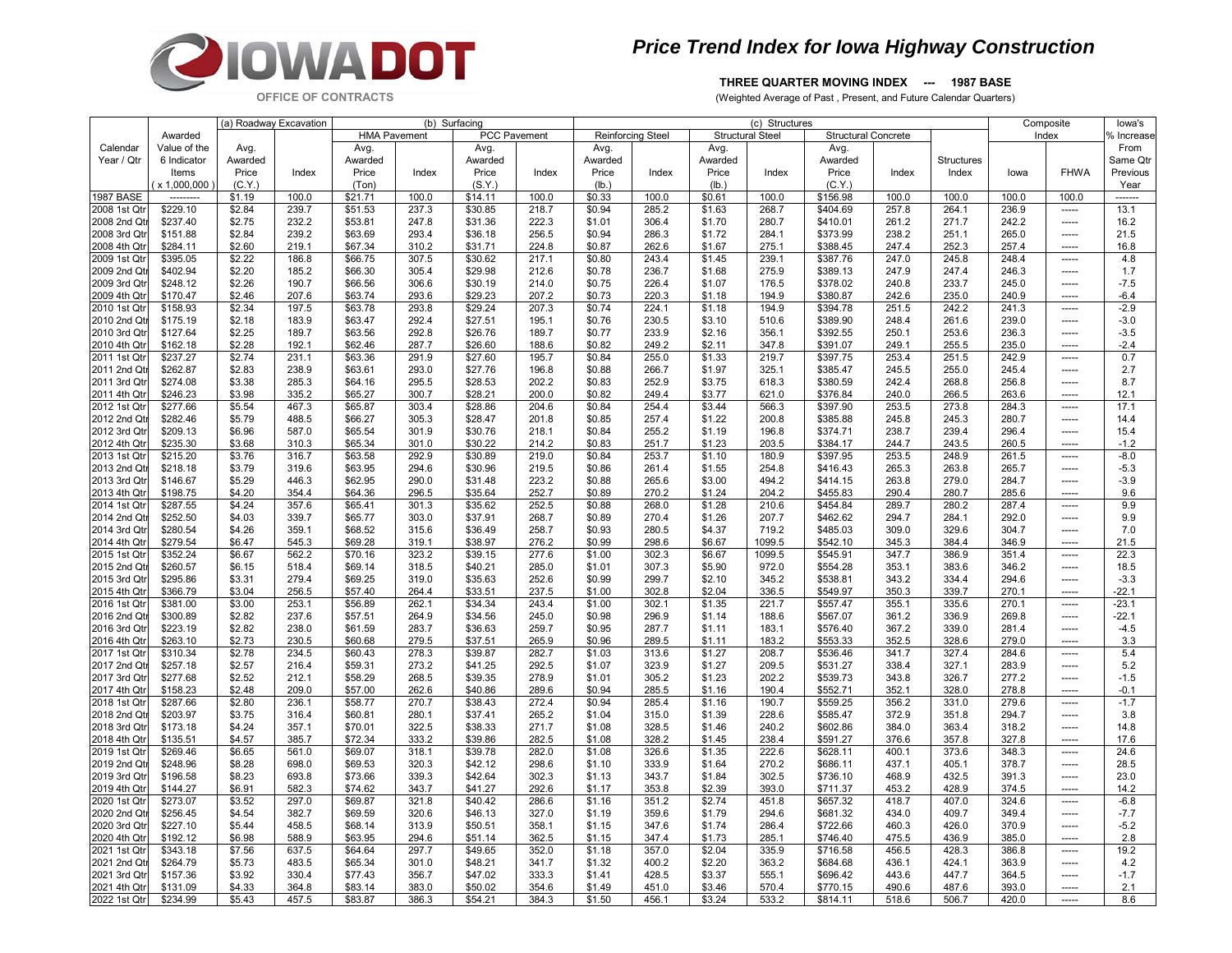

## *Price Trend Index for Iowa Highway Construction*

## **THREE QUARTER MOVING INDEX --- 1987 BASE**

(Weighted Average of Past , Present, and Future Calendar Quarters)

|                              |                      | (a) Roadway Excavation |                |                     | (b) Surfacing  |                     |                |                  | (c) Structures           |                         |                |                            |                |                   |                |                          | lowa's        |
|------------------------------|----------------------|------------------------|----------------|---------------------|----------------|---------------------|----------------|------------------|--------------------------|-------------------------|----------------|----------------------------|----------------|-------------------|----------------|--------------------------|---------------|
|                              | Awarded              |                        |                | <b>HMA Pavement</b> |                | <b>PCC Pavement</b> |                |                  | <b>Reinforcing Steel</b> | <b>Structural Steel</b> |                | <b>Structural Concrete</b> |                |                   |                | Index                    | ⁄օ Increase   |
| Calendar                     | Value of the         | Avg.                   |                | Avg.                |                | Avg                 |                | Avg              |                          | Avg.                    |                | Avg.                       |                |                   |                |                          | From          |
| Year / Qtr                   | 6 Indicator          | Awarded                |                | Awarded             |                | Awarded             |                | Awarded          |                          | Awarded                 |                | Awarded                    |                | <b>Structures</b> |                |                          | Same Qtr      |
|                              | Items                | Price                  | Index          | Price               | Index          | Price               | Index          | Price            | Index                    | Price                   | Index          | Price                      | Index          | Index             | lowa           | <b>FHWA</b>              | Previous      |
|                              | x 1,000,000          | (C.Y.)                 |                | (Ton)               |                | (S.Y.)              |                | (Ib)             |                          | (Ib)                    |                | (C.Y.)                     |                |                   |                |                          | Year          |
| <b>1987 BASE</b>             |                      | \$1.19                 | 100.0          | \$21.71             | 100.0          | \$14.11             | 100.0          | \$0.33           | 100.0                    | \$0.61                  | 100.0          | \$156.98                   | 100.0          | 100.0             | 100.0          | 100.0                    | ------        |
| 2008 1st Qtr                 | \$229.10             | \$2.84                 | 239.7          | \$51.53             | 237.3          | \$30.85             | 218.7          | \$0.94           | 285.2                    | \$1.63                  | 268.7          | \$404.69                   | 257.8          | 264.1             | 236.9          | $\cdots$                 | 13.1          |
| 2008 2nd Qtr                 | \$237.40             | \$2.75                 | 232.2          | \$53.81             | 247.8          | \$31.36             | 222.3          | \$1.01           | 306.4                    | \$1.70                  | 280.7          | \$410.01                   | 261.2          | 271.7             | 242.2          | -----                    | 16.2          |
| 2008 3rd Qtr                 | \$151.88             | \$2.84                 | 239.2          | \$63.69             | 293.4          | \$36.18             | 256.5          | \$0.94           | 286.3                    | \$1.72                  | 284.1          | \$373.99                   | 238.2          | 251.1             | 265.0          | -----                    | 21.5          |
| 2008 4th Qtr                 | \$284.11             | \$2.60                 | 219.1          | \$67.34             | 310.2          | \$31.71             | 224.8          | \$0.87           | 262.6                    | \$1.67                  | 275.1          | \$388.45                   | 247.4          | 252.3             | 257.4          |                          | 16.8          |
| 2009 1st Qtr                 | \$395.05             | \$2.22                 | 186.8          | \$66.75             | 307.5          | \$30.62             | 217.1          | \$0.80           | 243.4                    | \$1.45                  | 239.1          | \$387.76                   | 247.0          | 245.8             | 248.4          | -----                    | 4.8           |
| 2009 2nd Qtr                 | \$402.94             | \$2.20                 | 185.2          | \$66.30             | 305.4          | \$29.98             | 212.6          | \$0.78           | 236.7                    | \$1.68                  | 275.9          | \$389.13                   | 247.9          | 247.4             | 246.3          | -----                    | 1.7           |
| 2009 3rd Qt                  | \$248.12             | \$2.26                 | 190.7          | \$66.56             | 306.6          | \$30.19             | 214.0          | \$0.75           | 226.4                    | \$1.07                  | 176.5          | \$378.02                   | 240.8          | 233.7             | 245.0          | -----                    | $-7.5$        |
| 2009 4th Qtr                 | \$170.47             | \$2.46                 | 207.6          | \$63.74             | 293.6          | \$29.23             | 207.2          | \$0.73           | 220.3                    | \$1.18                  | 194.9          | \$380.87                   | 242.6          | 235.0             | 240.9          | $---$                    | $-6.4$        |
| 2010 1st Qtr                 | \$158.93             | \$2.34                 | 197.5          | \$63.78             | 293.8          | \$29.24             | 207.3          | \$0.74           | 224.1                    | \$1.18                  | 194.9          | \$394.78                   | 251.5          | 242.2             | 241.3          | -----                    | $-2.9$        |
| 2010 2nd Qtr                 | \$175.19             | \$2.18                 | 183.9          | \$63.47             | 292.4          | \$27.51             | 195.1          | \$0.76           | 230.5                    | \$3.10                  | 510.6          | \$389.90                   | 248.4          | 261.6             | 239.0          | -----                    | $-3.0$        |
| 2010 3rd Qtr                 | \$127.64             | \$2.25                 | 189.7          | \$63.56             | 292.8          | \$26.76             | 189.7          | \$0.77           | 233.9                    | \$2.16                  | 356.1          | \$392.55                   | 250.1          | 253.6             | 236.3          | -----                    | $-3.5$        |
| 2010 4th Qtr                 | \$162.18             | \$2.28                 | 192.1          | \$62.46             | 287.7          | \$26.60             | 188.6          | \$0.82           | 249.2                    | \$2.11                  | 347.8          | \$391.07                   | 249.1          | 255.5             | 235.0          | -----                    | $-2.4$        |
| 2011 1st Qtr                 | \$237.27             | \$2.74                 | 231.1          | \$63.36             | 291.9          | \$27.60             | 195.7          | \$0.84           | 255.0                    | \$1.33                  | 219.7          | \$397.75                   | 253.4          | 251.5             | 242.9          | $\cdots$                 | 0.7           |
| 2011 2nd Qtr                 | \$262.87             | \$2.83                 | 238.9          | \$63.61             | 293.0          | \$27.76             | 196.8          | \$0.88           | 266.7                    | \$1.97                  | 325.1          | \$385.47                   | 245.5          | 255.0             | 245.4          | -----                    | 2.7           |
| 2011 3rd Qtr                 | \$274.08             | \$3.38                 | 285.3          | \$64.16             | 295.5          | \$28.53             | 202.2          | \$0.83           | 252.9                    | \$3.75                  | 618.3          | \$380.59                   | 242.4          | 268.8             | 256.8          | -----                    | 8.7           |
| 2011 4th Qtr                 | \$246.23             | \$3.98                 | 335.2          | \$65.27             | 300.7          | \$28.21             | 200.0          | \$0.82           | 249.4                    | \$3.77                  | 621.0          | \$376.84                   | 240.0          | 266.5             | 263.6          |                          | 12.1          |
| 2012 1st Qtr<br>2012 2nd Qtr | \$277.66<br>\$282.46 | \$5.54<br>\$5.79       | 467.3<br>488.5 | \$65.87             | 303.4<br>305.3 | \$28.86<br>\$28.47  | 204.6          | \$0.84<br>\$0.85 | 254.4<br>257.4           | \$3.44<br>\$1.22        | 566.3<br>200.8 | \$397.90                   | 253.5<br>245.8 | 273.8<br>245.3    | 284.3<br>280.7 | -----                    | 17.1          |
| 2012 3rd Qt                  | \$209.13             | \$6.96                 | 587.0          | \$66.27<br>\$65.54  | 301.9          | \$30.76             | 201.8<br>218.1 | \$0.84           | 255.2                    | \$1.19                  | 196.8          | \$385.88<br>\$374.71       | 238.7          | 239.4             | 296.4          | -----<br>-----           | 14.4<br>15.4  |
| 2012 4th Qtr                 | \$235.30             | \$3.68                 | 310.3          | \$65.34             | 301.0          | \$30.22             | 214.2          | \$0.83           | 251.7                    | \$1.23                  | 203.5          | \$384.17                   | 244.7          | 243.5             | 260.5          | $\overline{a}$           | $-1.2$        |
| 2013 1st Qtr                 | \$215.20             | \$3.76                 | 316.7          | \$63.58             | 292.9          | \$30.89             | 219.0          | \$0.84           | 253.7                    | \$1.10                  | 180.9          | \$397.95                   | 253.5          | 248.9             | 261.5          | -----                    | $-8.0$        |
| 2013 2nd Qtr                 | \$218.18             | \$3.79                 | 319.6          | \$63.95             | 294.6          | \$30.96             | 219.5          | \$0.86           | 261.4                    | \$1.55                  | 254.8          | \$416.43                   | 265.3          | 263.8             | 265.7          | -----                    | $-5.3$        |
| 2013 3rd Qtr                 | \$146.67             | \$5.29                 | 446.3          | \$62.95             | 290.0          | \$31.48             | 223.2          | \$0.88           | 265.6                    | \$3.00                  | 494.2          | \$414.15                   | 263.8          | 279.0             | 284.7          | -----                    | $-3.9$        |
| 2013 4th Qtr                 | \$198.75             | \$4.20                 | 354.4          | \$64.36             | 296.5          | \$35.64             | 252.7          | \$0.89           | 270.2                    | \$1.24                  | 204.2          | \$455.83                   | 290.4          | 280.7             | 285.6          | $---$                    | 9.6           |
| 2014 1st Qtr                 | \$287.55             | \$4.24                 | 357.6          | \$65.41             | 301.3          | \$35.62             | 252.5          | \$0.88           | 268.0                    | \$1.28                  | 210.6          | \$454.84                   | 289.7          | 280.2             | 287.4          | -----                    | 9.9           |
| 2014 2nd Qtr                 | \$252.50             | \$4.03                 | 339.7          | \$65.77             | 303.0          | \$37.91             | 268.7          | \$0.89           | 270.4                    | \$1.26                  | 207.7          | \$462.62                   | 294.7          | 284.1             | 292.0          | -----                    | 9.9           |
| 2014 3rd Qtr                 | \$280.54             | \$4.26                 | 359.1          | \$68.52             | 315.6          | \$36.49             | 258.7          | \$0.93           | 280.5                    | \$4.37                  | 719.2          | \$485.03                   | 309.0          | 329.6             | 304.7          | -----                    | 7.0           |
| 2014 4th Qtr                 | \$279.54             | \$6.47                 | 545.3          | \$69.28             | 319.1          | \$38.97             | 276.2          | \$0.99           | 298.6                    | \$6.67                  | 1099.5         | \$542.10                   | 345.3          | 384.4             | 346.9          |                          | 21.5          |
| 2015 1st Qtr                 | \$352.24             | \$6.67                 | 562.2          | \$70.16             | 323.2          | \$39.15             | 277.6          | \$1.00           | 302.3                    | \$6.67                  | 1099.5         | \$545.91                   | 347.7          | 386.9             | 351.4          | -----                    | 22.3          |
| 2015 2nd Qtr                 | \$260.57             | \$6.15                 | 518.4          | \$69.14             | 318.5          | \$40.21             | 285.0          | \$1.01           | 307.3                    | \$5.90                  | 972.0          | \$554.28                   | 353.1          | 383.6             | 346.2          | -----                    | 18.5          |
| 2015 3rd Qt                  | \$295.86             | \$3.31                 | 279.4          | \$69.25             | 319.0          | \$35.63             | 252.6          | \$0.99           | 299.7                    | \$2.10                  | 345.2          | \$538.81                   | 343.2          | 334.4             | 294.6          | -----                    | $-3.3$        |
| 2015 4th Qtr                 | \$366.79             | \$3.04                 | 256.5          | \$57.40             | 264.4          | \$33.51             | 237.5          | \$1.00           | 302.8                    | \$2.04                  | 336.5          | \$549.97                   | 350.3          | 339.7             | 270.1          | $---$                    | $-22.1$       |
| 2016 1st Qtr                 | \$381.00             | \$3.00                 | 253.1          | \$56.89             | 262.1          | \$34.34             | 243.4          | \$1.00           | 302.1                    | \$1.35                  | 221.7          | \$557.47                   | 355.1          | 335.6             | 270.1          | -----                    | $-23.1$       |
| 2016 2nd Qtr                 | \$300.89             | \$2.82                 | 237.6          | \$57.51             | 264.9          | \$34.56             | 245.0          | \$0.98           | 296.9                    | \$1.14                  | 188.6          | \$567.07                   | 361.2          | 336.9             | 269.8          | -----                    | $-22.1$       |
| 2016 3rd Qtr                 | \$223.19             | \$2.82                 | 238.0          | \$61.59             | 283.7          | \$36.63             | 259.7          | \$0.95           | 287.7                    | \$1.11                  | 183.1          | \$576.40                   | 367.2          | 339.0             | 281.4          | -----                    | $-4.5$        |
| 2016 4th Qtr                 | \$263.10             | \$2.73                 | 230.5          | \$60.68             | 279.5          | \$37.51             | 265.9          | \$0.96           | 289.5                    | \$1.11                  | 183.2          | \$553.33                   | 352.5          | 328.6             | 279.0          | -----                    | 3.3           |
| 2017 1st Qtr                 | \$310.34             | \$2.78                 | 234.5          | \$60.43             | 278.3          | \$39.87             | 282.7          | \$1.03           | 313.6                    | \$1.27                  | 208.7          | \$536.46                   | 341.7          | 327.4             | 284.6          | $\cdots$                 | 5.4           |
| 2017 2nd Qtr                 | \$257.18             | \$2.57                 | 216.4          | \$59.31             | 273.2          | \$41.25             | 292.5          | \$1.07           | 323.9                    | \$1.27                  | 209.5          | \$531.27                   | 338.4          | 327.1             | 283.9          | -----                    | 5.2           |
| 2017 3rd Qtr                 | \$277.68             | \$2.52                 | 212.1          | \$58.29             | 268.5          | \$39.35             | 278.9          | \$1.01           | 305.2                    | \$1.23                  | 202.2          | \$539.73                   | 343.8          | 326.7             | 277.2          | -----                    | $-1.5$        |
| 2017 4th Qtr                 | \$158.23             | \$2.48                 | 209.0          | \$57.00             | 262.6          | \$40.86             | 289.6          | \$0.94           | 285.5                    | \$1.16                  | 190.4          | \$552.71                   | 352.1          | 328.0             | 278.8          |                          | $-0.1$        |
| 2018 1st Qtr                 | \$287.66             | \$2.80                 | 236.1          | \$58.77             | 270.7          | \$38.43             | 272.4          | \$0.94           | 285.4                    | \$1.16                  | 190.7          | \$559.25                   | 356.2          | 331.0             | 279.6          | $\overline{\phantom{a}}$ | $-1.7$        |
| 2018 2nd Qtr                 | \$203.97             | \$3.75                 | 316.4          | \$60.81             | 280.1          | \$37.41             | 265.2          | \$1.04           | 315.0                    | \$1.39                  | 228.6          | \$585.47                   | 372.9          | 351.8             | 294.7          | -----                    | 3.8           |
| 2018 3rd Qt                  | \$173.18             | \$4.24                 | 357.1          | \$70.01             | 322.5          | \$38.33             | 271.7          | \$1.08           | 328.5                    | \$1.46                  | 240.2          | \$602.86                   | 384.0          | 363.4             | 318.2          | -----                    | 14.8          |
| 2018 4th Qtr                 | \$135.51             | \$4.57                 | 385.7          | \$72.34             | 333.2          | \$39.86             | 282.5          | \$1.08           | 328.2                    | \$1.45                  | 238.4          | \$591.27                   | 376.6          | 357.8             | 327.8          | $\overline{a}$           | 17.6          |
| 2019 1st Qtr                 | \$269.46             | \$6.65                 | 561.0          | \$69.07             | 318.1          | \$39.78             | 282.0          | \$1.08           | 326.6                    | \$1.35                  | 222.6          | \$628.11                   | 400.1          | 373.6             | 348.3          | -----                    | 24.6          |
| 2019 2nd Qtr                 | \$248.96             | \$8.28                 | 698.0          | \$69.53             | 320.3          | \$42.12             | 298.6          | \$1.10           | 333.9                    | \$1.64                  | 270.2          | \$686.11                   | 437.1          | 405.1             | 378.7          | $\cdots$                 | 28.5          |
| 2019 3rd Qtr                 | \$196.58             | \$8.23                 | 693.8          | \$73.66             | 339.3          | \$42.64             | 302.3          | \$1.13           | 343.7                    | \$1.84                  | 302.5          | \$736.10                   | 468.9          | 432.5             | 391.3          | -----                    | 23.0          |
| 2019 4th Qtr                 | \$144.27             | \$6.91                 | 582.3          | \$74.62             | 343.7          | \$41.27             | 292.6          | \$1.17           | 353.8                    | \$2.39                  | 393.0          | \$711.37                   | 453.2          | 428.9             | 374.5          | $\overline{a}$           | 14.2          |
| 2020 1st Qtr                 | \$273.07             | \$3.52                 | 297.0          | \$69.87             | 321.8          | \$40.42             | 286.6          | \$1.16           | 351.2                    | \$2.74                  | 451.8          | \$657.32                   | 418.7          | 407.0             | 324.6          | -----                    | $-6.8$        |
| 2020 2nd Qtr                 | \$256.45             | \$4.54<br>\$5.44       | 382.7<br>458.5 | \$69.59             | 320.6          | \$46.13<br>\$50.51  | 327.0          | \$1.19           | 359.6                    | \$1.79                  | 294.6          | \$681.32                   | 434.0          | 409.7             | 349.4          | -----                    | $-7.7$        |
| 2020 3rd Qtr                 | \$227.10<br>\$192.12 | \$6.98                 | 588.9          | \$68.14             | 313.9          |                     | 358.1          | \$1.15<br>\$1.15 | 347.6<br>347.4           | \$1.74                  | 286.4<br>285.1 | \$722.66                   | 460.3          | 426.0             | 370.9<br>385.0 | -----                    | $-5.2$<br>2.8 |
| 2020 4th Qtr<br>2021 1st Qtr | \$343.18             | \$7.56                 | 637.5          | \$63.95<br>\$64.64  | 294.6<br>297.7 | \$51.14<br>\$49.65  | 362.5<br>352.0 | \$1.18           | 357.0                    | \$1.73<br>\$2.04        | 335.9          | \$746.40<br>\$716.58       | 475.5<br>456.5 | 436.9<br>428.3    | 386.8          | -----                    | 19.2          |
| 2021 2nd Qtr                 | \$264.79             | \$5.73                 | 483.5          | \$65.34             | 301.0          | \$48.21             | 341.7          | \$1.32           | 400.2                    | \$2.20                  | 363.2          | \$684.68                   | 436.1          | 424.1             | 363.9          | -----                    | 4.2           |
| 2021 3rd Qt                  | \$157.36             | \$3.92                 | 330.4          | \$77.43             | 356.7          | \$47.02             | 333.3          | \$1.41           | 428.5                    | \$3.37                  | 555.1          | \$696.42                   | 443.6          | 447.7             | 364.5          | -----                    | $-1.7$        |
| 2021 4th Qtr                 | \$131.09             | \$4.33                 | 364.8          | \$83.14             | 383.0          | \$50.02             | 354.6          | \$1.49           | 451.0                    | \$3.46                  | 570.4          | \$770.15                   | 490.6          | 487.6             | 393.0          | -----                    | 2.1           |
| 2022 1st Qtr                 | \$234.99             | \$5.43                 | 457.5          | \$83.87             | 386.3          | \$54.21             | 384.3          | \$1.50           | 456.1                    | \$3.24                  | 533.2          | \$814.11                   | 518.6          | 506.7             | 420.0          | $\overline{a}$           | 8.6           |
|                              |                      |                        |                |                     |                |                     |                |                  |                          |                         |                |                            |                |                   |                |                          |               |